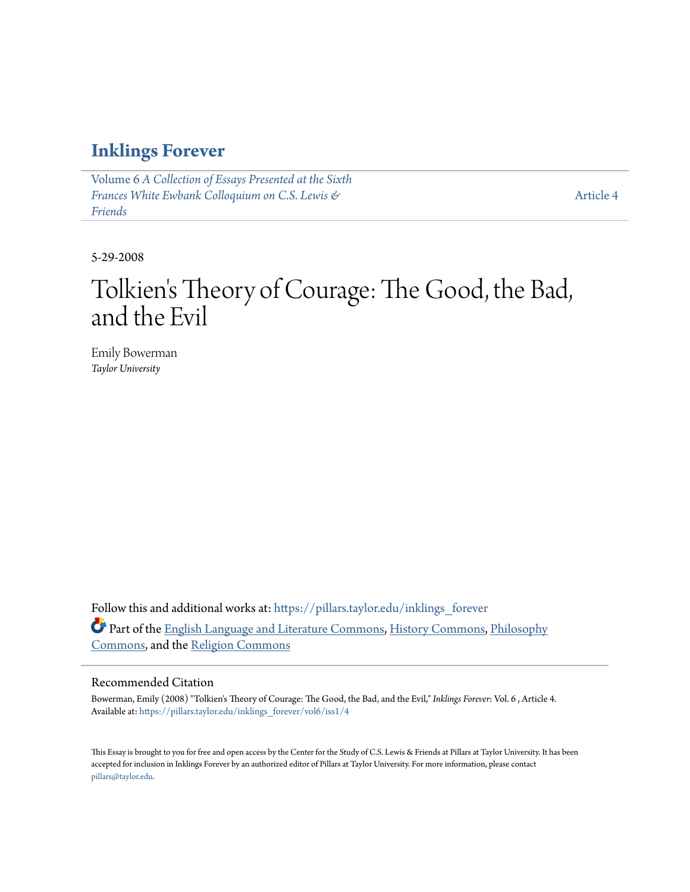#### **[Inklings Forever](https://pillars.taylor.edu/inklings_forever?utm_source=pillars.taylor.edu%2Finklings_forever%2Fvol6%2Fiss1%2F4&utm_medium=PDF&utm_campaign=PDFCoverPages)**

Volume 6 *[A Collection of Essays Presented at the Sixth](https://pillars.taylor.edu/inklings_forever/vol6?utm_source=pillars.taylor.edu%2Finklings_forever%2Fvol6%2Fiss1%2F4&utm_medium=PDF&utm_campaign=PDFCoverPages) [Frances White Ewbank Colloquium on C.S. Lewis &](https://pillars.taylor.edu/inklings_forever/vol6?utm_source=pillars.taylor.edu%2Finklings_forever%2Fvol6%2Fiss1%2F4&utm_medium=PDF&utm_campaign=PDFCoverPages) [Friends](https://pillars.taylor.edu/inklings_forever/vol6?utm_source=pillars.taylor.edu%2Finklings_forever%2Fvol6%2Fiss1%2F4&utm_medium=PDF&utm_campaign=PDFCoverPages)*

[Article 4](https://pillars.taylor.edu/inklings_forever/vol6/iss1/4?utm_source=pillars.taylor.edu%2Finklings_forever%2Fvol6%2Fiss1%2F4&utm_medium=PDF&utm_campaign=PDFCoverPages)

5-29-2008

# Tolkien 's Theory of Courage: The Good, the Bad, and the Evil

Emily Bowerman *Taylor University*

Follow this and additional works at: [https://pillars.taylor.edu/inklings\\_forever](https://pillars.taylor.edu/inklings_forever?utm_source=pillars.taylor.edu%2Finklings_forever%2Fvol6%2Fiss1%2F4&utm_medium=PDF&utm_campaign=PDFCoverPages) Part of the [English Language and Literature Commons](http://network.bepress.com/hgg/discipline/455?utm_source=pillars.taylor.edu%2Finklings_forever%2Fvol6%2Fiss1%2F4&utm_medium=PDF&utm_campaign=PDFCoverPages), [History Commons,](http://network.bepress.com/hgg/discipline/489?utm_source=pillars.taylor.edu%2Finklings_forever%2Fvol6%2Fiss1%2F4&utm_medium=PDF&utm_campaign=PDFCoverPages) [Philosophy](http://network.bepress.com/hgg/discipline/525?utm_source=pillars.taylor.edu%2Finklings_forever%2Fvol6%2Fiss1%2F4&utm_medium=PDF&utm_campaign=PDFCoverPages) [Commons,](http://network.bepress.com/hgg/discipline/525?utm_source=pillars.taylor.edu%2Finklings_forever%2Fvol6%2Fiss1%2F4&utm_medium=PDF&utm_campaign=PDFCoverPages) and the [Religion Commons](http://network.bepress.com/hgg/discipline/538?utm_source=pillars.taylor.edu%2Finklings_forever%2Fvol6%2Fiss1%2F4&utm_medium=PDF&utm_campaign=PDFCoverPages)

#### Recommended Citation

Bowerman, Emily (2008) "Tolkien's Theory of Courage: The Good, the Bad, and the Evil," *Inklings Forever*: Vol. 6 , Article 4. Available at: [https://pillars.taylor.edu/inklings\\_forever/vol6/iss1/4](https://pillars.taylor.edu/inklings_forever/vol6/iss1/4?utm_source=pillars.taylor.edu%2Finklings_forever%2Fvol6%2Fiss1%2F4&utm_medium=PDF&utm_campaign=PDFCoverPages)

This Essay is brought to you for free and open access by the Center for the Study of C.S. Lewis & Friends at Pillars at Taylor University. It has been accepted for inclusion in Inklings Forever by an authorized editor of Pillars at Taylor University. For more information, please contact [pillars@taylor.edu.](mailto:pillars@taylor.edu)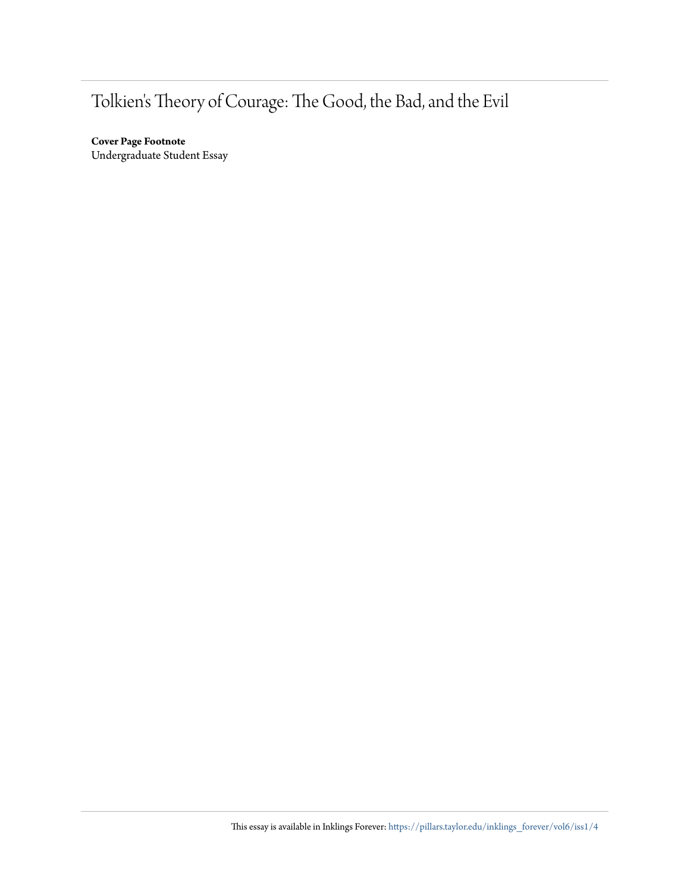### Tolkien's Theory of Courage: The Good, the Bad, and the Evil

**Cover Page Footnote** Undergraduate Student Essay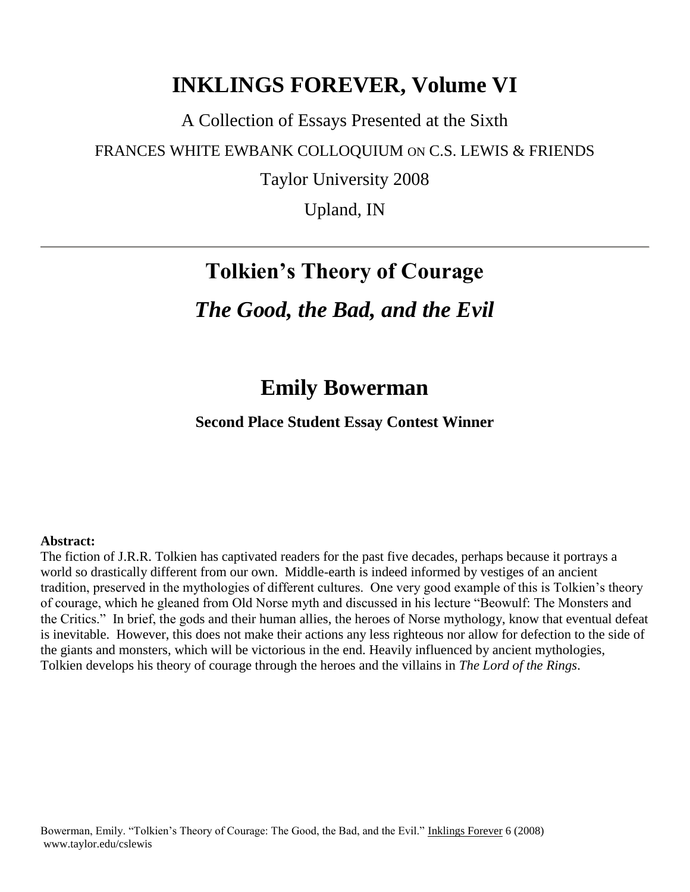### **INKLINGS FOREVER, Volume VI**

A Collection of Essays Presented at the Sixth

FRANCES WHITE EWBANK COLLOQUIUM ON C.S. LEWIS & FRIENDS

Taylor University 2008

Upland, IN

## **Tolkien's Theory of Courage**

### *The Good, the Bad, and the Evil*

### **Emily Bowerman**

**Second Place Student Essay Contest Winner**

#### **Abstract:**

The fiction of J.R.R. Tolkien has captivated readers for the past five decades, perhaps because it portrays a world so drastically different from our own. Middle-earth is indeed informed by vestiges of an ancient tradition, preserved in the mythologies of different cultures. One very good example of this is Tolkien"s theory of courage, which he gleaned from Old Norse myth and discussed in his lecture "Beowulf: The Monsters and the Critics." In brief, the gods and their human allies, the heroes of Norse mythology, know that eventual defeat is inevitable. However, this does not make their actions any less righteous nor allow for defection to the side of the giants and monsters, which will be victorious in the end. Heavily influenced by ancient mythologies, Tolkien develops his theory of courage through the heroes and the villains in *The Lord of the Rings*.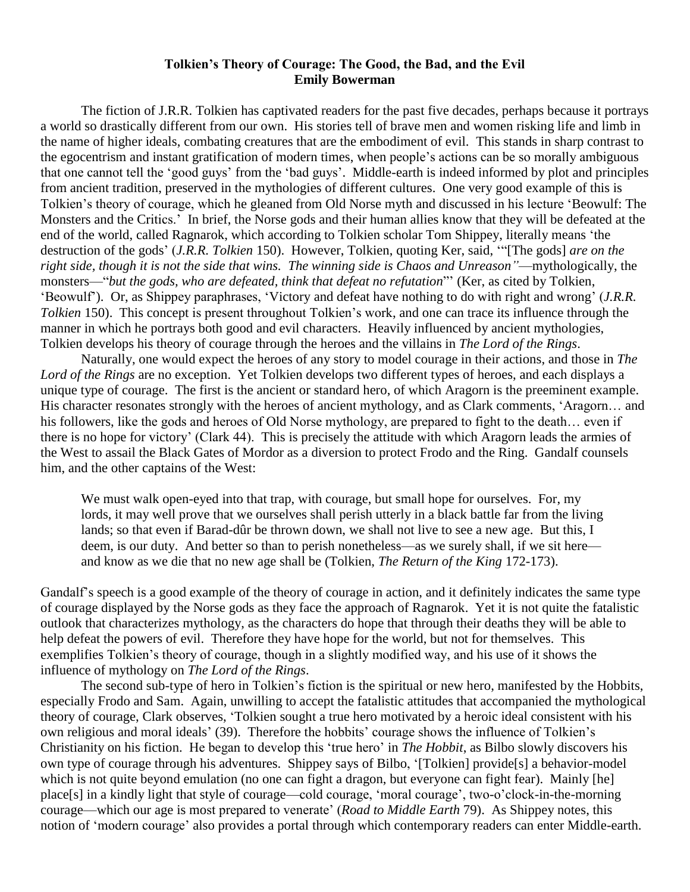#### **Tolkien's Theory of Courage: The Good, the Bad, and the Evil Emily Bowerman**

The fiction of J.R.R. Tolkien has captivated readers for the past five decades, perhaps because it portrays a world so drastically different from our own. His stories tell of brave men and women risking life and limb in the name of higher ideals, combating creatures that are the embodiment of evil. This stands in sharp contrast to the egocentrism and instant gratification of modern times, when people"s actions can be so morally ambiguous that one cannot tell the "good guys" from the "bad guys". Middle-earth is indeed informed by plot and principles from ancient tradition, preserved in the mythologies of different cultures. One very good example of this is Tolkien"s theory of courage, which he gleaned from Old Norse myth and discussed in his lecture "Beowulf: The Monsters and the Critics." In brief, the Norse gods and their human allies know that they will be defeated at the end of the world, called Ragnarok, which according to Tolkien scholar Tom Shippey, literally means "the destruction of the gods" (*J.R.R. Tolkien* 150). However, Tolkien, quoting Ker, said, ""[The gods] *are on the right side, though it is not the side that wins. The winning side is Chaos and Unreason"*—mythologically, the monsters—"*but the gods, who are defeated, think that defeat no refutation*"" (Ker, as cited by Tolkien, "Beowulf"). Or, as Shippey paraphrases, "Victory and defeat have nothing to do with right and wrong" (*J.R.R. Tolkien* 150). This concept is present throughout Tolkien's work, and one can trace its influence through the manner in which he portrays both good and evil characters. Heavily influenced by ancient mythologies, Tolkien develops his theory of courage through the heroes and the villains in *The Lord of the Rings*.

Naturally, one would expect the heroes of any story to model courage in their actions, and those in *The Lord of the Rings* are no exception. Yet Tolkien develops two different types of heroes, and each displays a unique type of courage. The first is the ancient or standard hero, of which Aragorn is the preeminent example. His character resonates strongly with the heroes of ancient mythology, and as Clark comments, 'Aragorn... and his followers, like the gods and heroes of Old Norse mythology, are prepared to fight to the death… even if there is no hope for victory" (Clark 44). This is precisely the attitude with which Aragorn leads the armies of the West to assail the Black Gates of Mordor as a diversion to protect Frodo and the Ring. Gandalf counsels him, and the other captains of the West:

We must walk open-eyed into that trap, with courage, but small hope for ourselves. For, my lords, it may well prove that we ourselves shall perish utterly in a black battle far from the living lands; so that even if Barad-dûr be thrown down, we shall not live to see a new age. But this, I deem, is our duty. And better so than to perish nonetheless—as we surely shall, if we sit here and know as we die that no new age shall be (Tolkien, *The Return of the King* 172-173).

Gandalf"s speech is a good example of the theory of courage in action, and it definitely indicates the same type of courage displayed by the Norse gods as they face the approach of Ragnarok. Yet it is not quite the fatalistic outlook that characterizes mythology, as the characters do hope that through their deaths they will be able to help defeat the powers of evil. Therefore they have hope for the world, but not for themselves. This exemplifies Tolkien's theory of courage, though in a slightly modified way, and his use of it shows the influence of mythology on *The Lord of the Rings*.

The second sub-type of hero in Tolkien"s fiction is the spiritual or new hero, manifested by the Hobbits, especially Frodo and Sam. Again, unwilling to accept the fatalistic attitudes that accompanied the mythological theory of courage, Clark observes, "Tolkien sought a true hero motivated by a heroic ideal consistent with his own religious and moral ideals" (39). Therefore the hobbits" courage shows the influence of Tolkien"s Christianity on his fiction. He began to develop this "true hero" in *The Hobbit*, as Bilbo slowly discovers his own type of courage through his adventures. Shippey says of Bilbo, "[Tolkien] provide[s] a behavior-model which is not quite beyond emulation (no one can fight a dragon, but everyone can fight fear). Mainly [he] place[s] in a kindly light that style of courage—cold courage, "moral courage", two-o"clock-in-the-morning courage—which our age is most prepared to venerate" (*Road to Middle Earth* 79). As Shippey notes, this notion of 'modern courage' also provides a portal through which contemporary readers can enter Middle-earth.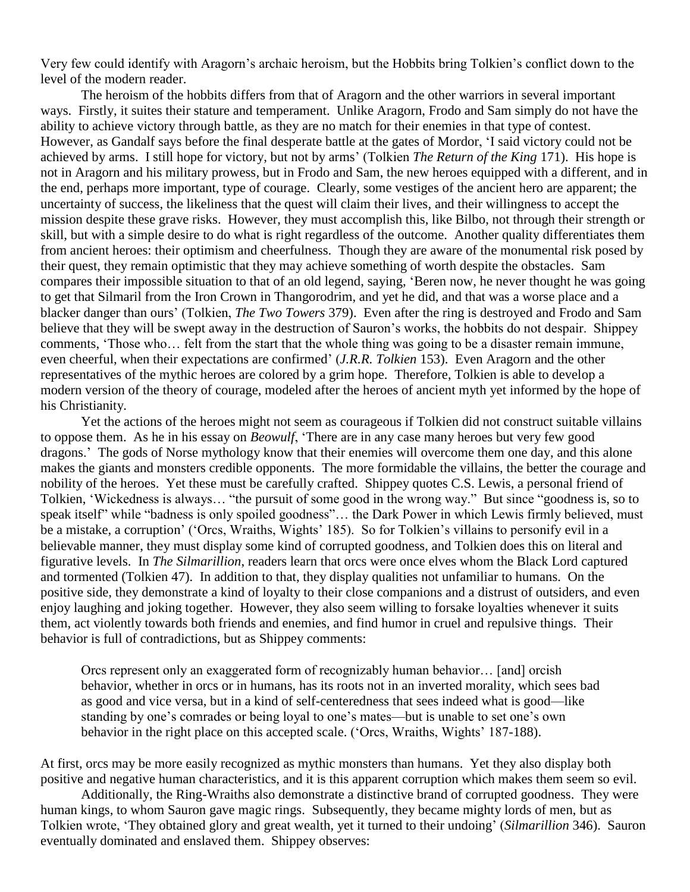Very few could identify with Aragorn"s archaic heroism, but the Hobbits bring Tolkien"s conflict down to the level of the modern reader.

The heroism of the hobbits differs from that of Aragorn and the other warriors in several important ways. Firstly, it suites their stature and temperament. Unlike Aragorn, Frodo and Sam simply do not have the ability to achieve victory through battle, as they are no match for their enemies in that type of contest. However, as Gandalf says before the final desperate battle at the gates of Mordor, "I said victory could not be achieved by arms. I still hope for victory, but not by arms" (Tolkien *The Return of the King* 171). His hope is not in Aragorn and his military prowess, but in Frodo and Sam, the new heroes equipped with a different, and in the end, perhaps more important, type of courage. Clearly, some vestiges of the ancient hero are apparent; the uncertainty of success, the likeliness that the quest will claim their lives, and their willingness to accept the mission despite these grave risks. However, they must accomplish this, like Bilbo, not through their strength or skill, but with a simple desire to do what is right regardless of the outcome. Another quality differentiates them from ancient heroes: their optimism and cheerfulness. Though they are aware of the monumental risk posed by their quest, they remain optimistic that they may achieve something of worth despite the obstacles. Sam compares their impossible situation to that of an old legend, saying, "Beren now, he never thought he was going to get that Silmaril from the Iron Crown in Thangorodrim, and yet he did, and that was a worse place and a blacker danger than ours" (Tolkien, *The Two Towers* 379). Even after the ring is destroyed and Frodo and Sam believe that they will be swept away in the destruction of Sauron"s works, the hobbits do not despair. Shippey comments, "Those who… felt from the start that the whole thing was going to be a disaster remain immune, even cheerful, when their expectations are confirmed" (*J.R.R. Tolkien* 153). Even Aragorn and the other representatives of the mythic heroes are colored by a grim hope. Therefore, Tolkien is able to develop a modern version of the theory of courage, modeled after the heroes of ancient myth yet informed by the hope of his Christianity.

Yet the actions of the heroes might not seem as courageous if Tolkien did not construct suitable villains to oppose them. As he in his essay on *Beowulf*, "There are in any case many heroes but very few good dragons." The gods of Norse mythology know that their enemies will overcome them one day, and this alone makes the giants and monsters credible opponents. The more formidable the villains, the better the courage and nobility of the heroes. Yet these must be carefully crafted. Shippey quotes C.S. Lewis, a personal friend of Tolkien, "Wickedness is always… "the pursuit of some good in the wrong way." But since "goodness is, so to speak itself" while "badness is only spoiled goodness"... the Dark Power in which Lewis firmly believed, must be a mistake, a corruption' ('Orcs, Wraiths, Wights' 185). So for Tolkien's villains to personify evil in a believable manner, they must display some kind of corrupted goodness, and Tolkien does this on literal and figurative levels. In *The Silmarillion*, readers learn that orcs were once elves whom the Black Lord captured and tormented (Tolkien 47). In addition to that, they display qualities not unfamiliar to humans. On the positive side, they demonstrate a kind of loyalty to their close companions and a distrust of outsiders, and even enjoy laughing and joking together. However, they also seem willing to forsake loyalties whenever it suits them, act violently towards both friends and enemies, and find humor in cruel and repulsive things. Their behavior is full of contradictions, but as Shippey comments:

Orcs represent only an exaggerated form of recognizably human behavior… [and] orcish behavior, whether in orcs or in humans, has its roots not in an inverted morality, which sees bad as good and vice versa, but in a kind of self-centeredness that sees indeed what is good—like standing by one's comrades or being loyal to one's mates—but is unable to set one's own behavior in the right place on this accepted scale. ('Orcs, Wraiths, Wights' 187-188).

At first, orcs may be more easily recognized as mythic monsters than humans. Yet they also display both positive and negative human characteristics, and it is this apparent corruption which makes them seem so evil.

Additionally, the Ring-Wraiths also demonstrate a distinctive brand of corrupted goodness. They were human kings, to whom Sauron gave magic rings. Subsequently, they became mighty lords of men, but as Tolkien wrote, "They obtained glory and great wealth, yet it turned to their undoing" (*Silmarillion* 346). Sauron eventually dominated and enslaved them. Shippey observes: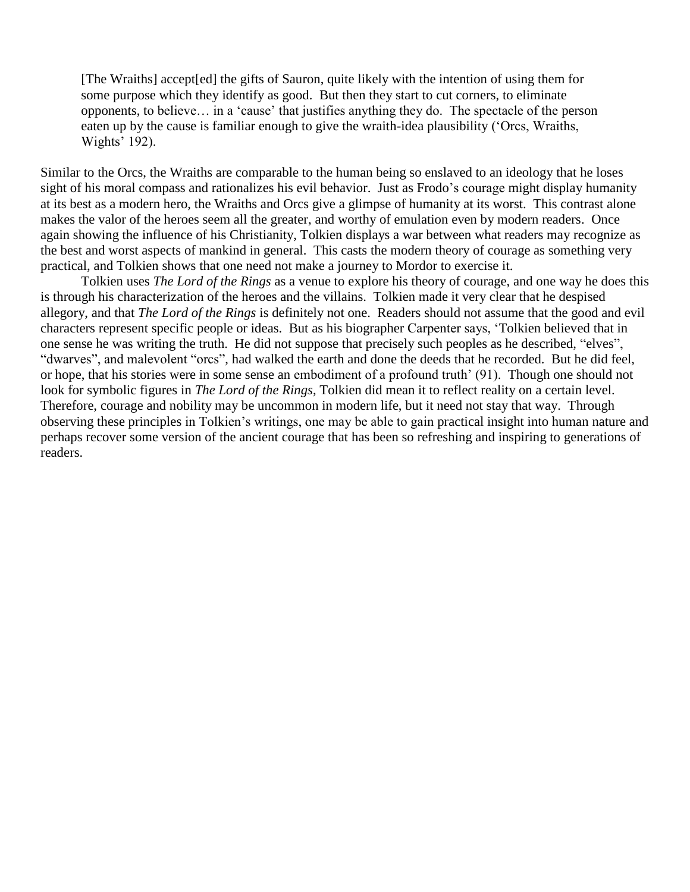[The Wraiths] accept[ed] the gifts of Sauron, quite likely with the intention of using them for some purpose which they identify as good. But then they start to cut corners, to eliminate opponents, to believe… in a "cause" that justifies anything they do. The spectacle of the person eaten up by the cause is familiar enough to give the wraith-idea plausibility ("Orcs, Wraiths, Wights' 192).

Similar to the Orcs, the Wraiths are comparable to the human being so enslaved to an ideology that he loses sight of his moral compass and rationalizes his evil behavior. Just as Frodo's courage might display humanity at its best as a modern hero, the Wraiths and Orcs give a glimpse of humanity at its worst. This contrast alone makes the valor of the heroes seem all the greater, and worthy of emulation even by modern readers. Once again showing the influence of his Christianity, Tolkien displays a war between what readers may recognize as the best and worst aspects of mankind in general. This casts the modern theory of courage as something very practical, and Tolkien shows that one need not make a journey to Mordor to exercise it.

Tolkien uses *The Lord of the Rings* as a venue to explore his theory of courage, and one way he does this is through his characterization of the heroes and the villains. Tolkien made it very clear that he despised allegory, and that *The Lord of the Rings* is definitely not one. Readers should not assume that the good and evil characters represent specific people or ideas. But as his biographer Carpenter says, "Tolkien believed that in one sense he was writing the truth. He did not suppose that precisely such peoples as he described, "elves", "dwarves", and malevolent "orcs", had walked the earth and done the deeds that he recorded. But he did feel, or hope, that his stories were in some sense an embodiment of a profound truth' (91). Though one should not look for symbolic figures in *The Lord of the Rings*, Tolkien did mean it to reflect reality on a certain level. Therefore, courage and nobility may be uncommon in modern life, but it need not stay that way. Through observing these principles in Tolkien"s writings, one may be able to gain practical insight into human nature and perhaps recover some version of the ancient courage that has been so refreshing and inspiring to generations of readers.